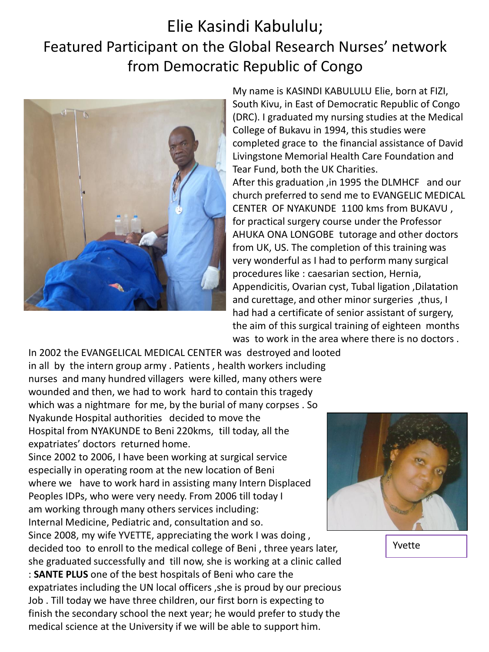## Elie Kasindi Kabululu; Featured Participant on the Global Research Nurses' network from Democratic Republic of Congo



My name is KASINDI KABULULU Elie, born at FIZI, South Kivu, in East of Democratic Republic of Congo (DRC). I graduated my nursing studies at the Medical College of Bukavu in 1994, this studies were completed grace to the financial assistance of David Livingstone Memorial Health Care Foundation and Tear Fund, both the UK Charities. After this graduation ,in 1995 the DLMHCF and our church preferred to send me to EVANGELIC MEDICAL CENTER OF NYAKUNDE 1100 kms from BUKAVU , for practical surgery course under the Professor AHUKA ONA LONGOBE tutorage and other doctors from UK, US. The completion of this training was very wonderful as I had to perform many surgical procedures like : caesarian section, Hernia, Appendicitis, Ovarian cyst, Tubal ligation ,Dilatation and curettage, and other minor surgeries ,thus, I had had a certificate of senior assistant of surgery,

the aim of this surgical training of eighteen months was to work in the area where there is no doctors .

In 2002 the EVANGELICAL MEDICAL CENTER was destroyed and looted in all by the intern group army . Patients , health workers including nurses and many hundred villagers were killed, many others were wounded and then, we had to work hard to contain this tragedy which was a nightmare for me, by the burial of many corpses . So Nyakunde Hospital authorities decided to move the Hospital from NYAKUNDE to Beni 220kms, till today, all the expatriates' doctors returned home.

Since 2002 to 2006, I have been working at surgical service especially in operating room at the new location of Beni where we have to work hard in assisting many Intern Displaced Peoples IDPs, who were very needy. From 2006 till today I am working through many others services including: Internal Medicine, Pediatric and, consultation and so.

Since 2008, my wife YVETTE, appreciating the work I was doing , decided too to enroll to the medical college of Beni , three years later, she graduated successfully and till now, she is working at a clinic called : **SANTE PLUS** one of the best hospitals of Beni who care the expatriates including the UN local officers ,she is proud by our precious Job . Till today we have three children, our first born is expecting to finish the secondary school the next year; he would prefer to study the medical science at the University if we will be able to support him.



Yvette